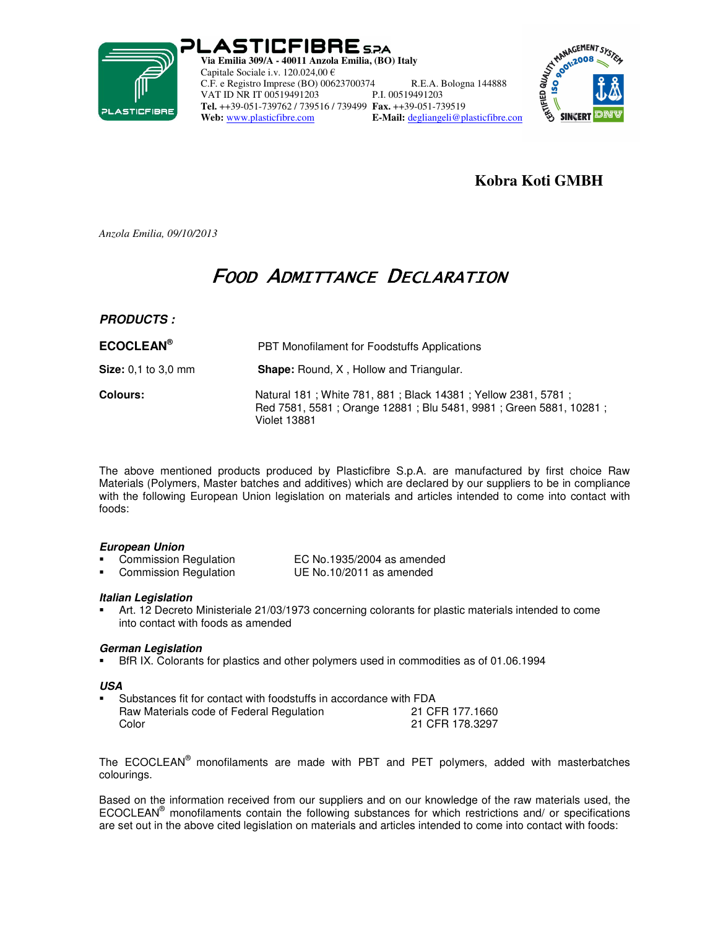

PLASTICFIBRE 5.2A **Via Emilia 309/A - 40011 Anzola Emilia, (BO) Italy**  Capitale Sociale i.v. 120.024,00 € C.F. e Registro Imprese (BO) 00623700374 R.E.A. Bologna 144888 VAT ID NR IT 00519491203 **Tel.** ++39-051-739762 / 739516 / 739499 **Fax.** ++39-051-739519 **Web:** www.plasticfibre.com **E-Mail:** degliangeli@plasticfibre.com



## **Kobra Koti GMBH**

*Anzola Emilia, 09/10/2013* 

# FOOD ADMITTANCE DECLARATION

**PRODUCTS :**

| <b>ECOCLEAN®</b>           | <b>PBT Monofilament for Foodstuffs Applications</b>                                                                                              |  |  |
|----------------------------|--------------------------------------------------------------------------------------------------------------------------------------------------|--|--|
| <b>Size:</b> 0.1 to 3.0 mm | <b>Shape:</b> Round, X, Hollow and Triangular.                                                                                                   |  |  |
| <b>Colours:</b>            | Natural 181; White 781, 881; Black 14381; Yellow 2381, 5781;<br>Red 7581, 5581; Orange 12881; Blu 5481, 9981; Green 5881, 10281;<br>Violet 13881 |  |  |

The above mentioned products produced by Plasticfibre S.p.A. are manufactured by first choice Raw Materials (Polymers, Master batches and additives) which are declared by our suppliers to be in compliance with the following European Union legislation on materials and articles intended to come into contact with foods:

#### **European Union**

| <b>Commission Regulation</b> | EC No.1935/2004 as amended |
|------------------------------|----------------------------|
| <b>Commission Regulation</b> | UE No.10/2011 as amended   |

#### **Italian Legislation**

 Art. 12 Decreto Ministeriale 21/03/1973 concerning colorants for plastic materials intended to come into contact with foods as amended

#### **German Legislation**

BfR IX. Colorants for plastics and other polymers used in commodities as of 01.06.1994

#### **USA**

| Substances fit for contact with foodstuffs in accordance with FDA |                 |
|-------------------------------------------------------------------|-----------------|
| Raw Materials code of Federal Regulation                          | 21 CFR 177.1660 |
| Color                                                             | 21 CFR 178.3297 |

The ECOCLEAN® monofilaments are made with PBT and PET polymers, added with masterbatches colourings.

Based on the information received from our suppliers and on our knowledge of the raw materials used, the ECOCLEAN® monofilaments contain the following substances for which restrictions and/ or specifications are set out in the above cited legislation on materials and articles intended to come into contact with foods: